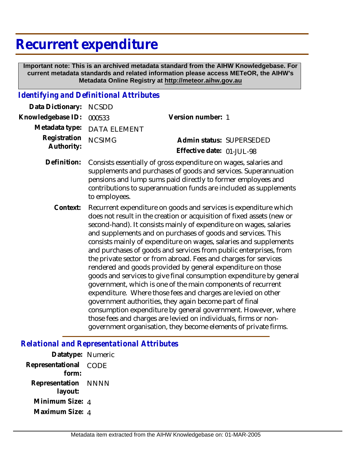# **Recurrent expenditure**

 **Important note: This is an archived metadata standard from the AIHW Knowledgebase. For current metadata standards and related information please access METeOR, the AIHW's Metadata Online Registry at http://meteor.aihw.gov.au**

#### *Identifying and Definitional Attributes*

| Data Dictionary:           | <b>NCSDD</b>                                                                                                                                                                                                                                                                                                                                                                                                                                                                                                                                                                                                                                                                                                                                                                                                                                                                                                                                                                                                                            |                                                       |
|----------------------------|-----------------------------------------------------------------------------------------------------------------------------------------------------------------------------------------------------------------------------------------------------------------------------------------------------------------------------------------------------------------------------------------------------------------------------------------------------------------------------------------------------------------------------------------------------------------------------------------------------------------------------------------------------------------------------------------------------------------------------------------------------------------------------------------------------------------------------------------------------------------------------------------------------------------------------------------------------------------------------------------------------------------------------------------|-------------------------------------------------------|
| Knowledgebase ID:          | 000533                                                                                                                                                                                                                                                                                                                                                                                                                                                                                                                                                                                                                                                                                                                                                                                                                                                                                                                                                                                                                                  | Version number: 1                                     |
| Metadata type:             | <b>DATA ELEMENT</b>                                                                                                                                                                                                                                                                                                                                                                                                                                                                                                                                                                                                                                                                                                                                                                                                                                                                                                                                                                                                                     |                                                       |
| Registration<br>Authority: | <b>NCSIMG</b>                                                                                                                                                                                                                                                                                                                                                                                                                                                                                                                                                                                                                                                                                                                                                                                                                                                                                                                                                                                                                           | Admin status: SUPERSEDED<br>Effective date: 01-JUL-98 |
| Definition:                | Consists essentially of gross expenditure on wages, salaries and<br>supplements and purchases of goods and services. Superannuation<br>pensions and lump sums paid directly to former employees and<br>contributions to superannuation funds are included as supplements<br>to employees.                                                                                                                                                                                                                                                                                                                                                                                                                                                                                                                                                                                                                                                                                                                                               |                                                       |
| Context:                   | Recurrent expenditure on goods and services is expenditure which<br>does not result in the creation or acquisition of fixed assets (new or<br>second-hand). It consists mainly of expenditure on wages, salaries<br>and supplements and on purchases of goods and services. This<br>consists mainly of expenditure on wages, salaries and supplements<br>and purchases of goods and services from public enterprises, from<br>the private sector or from abroad. Fees and charges for services<br>rendered and goods provided by general expenditure on those<br>goods and services to give final consumption expenditure by general<br>government, which is one of the main components of recurrent<br>expenditure. Where those fees and charges are levied on other<br>government authorities, they again become part of final<br>consumption expenditure by general government. However, where<br>those fees and charges are levied on individuals, firms or non-<br>government organisation, they become elements of private firms. |                                                       |

### *Relational and Representational Attributes*

| Datatype: Numeric         |             |
|---------------------------|-------------|
| Representational<br>form: | CODE        |
| Representation<br>layout: | <b>NNNN</b> |
| Minimum Size: 4           |             |
| Maximum Size: 4           |             |
|                           |             |